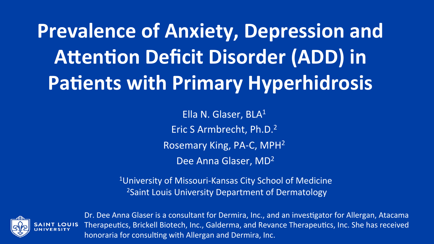**Prevalence of Anxiety, Depression and Attention Deficit Disorder (ADD) in Patients with Primary Hyperhidrosis** 

> Ella N. Glaser,  $BLA<sup>1</sup>$ Eric S Armbrecht, Ph.D.<sup>2</sup> Rosemary King, PA-C, MPH<sup>2</sup> Dee Anna Glaser, MD<sup>2</sup>

<sup>1</sup>University of Missouri-Kansas City School of Medicine <sup>2</sup> Saint Louis University Department of Dermatology



Dr. Dee Anna Glaser is a consultant for Dermira, Inc., and an investigator for Allergan, Atacama Therapeutics, Brickell Biotech, Inc., Galderma, and Revance Therapeutics, Inc. She has received honoraria for consulting with Allergan and Dermira, Inc.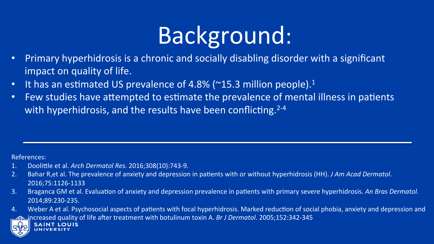## Background:

- Primary hyperhidrosis is a chronic and socially disabling disorder with a significant impact on quality of life.
- It has an estimated US prevalence of 4.8% ( $\sim$ 15.3 million people).<sup>1</sup>
- Few studies have attempted to estimate the prevalence of mental illness in patients with hyperhidrosis, and the results have been conflicting.<sup>2-4</sup>

References: 

- 1. Doolittle et al. *Arch Dermatol Res.* 2016;308(10):743-9.
- 2. Bahar R, et al. The prevalence of anxiety and depression in patients with or without hyperhidrosis (HH). *J Am Acad Dermatol*. 2016;75:1126-1133
- 3. Braganca GM et al. Evaluation of anxiety and depression prevalence in patients with primary severe hyperhidrosis. An Bras Dermatol. 2014;89:230-235.
- 4. Weber A et al. Psychosocial aspects of patients with focal hyperhidrosis. Marked reduction of social phobia, anxiety and depression and increased quality of life after treatment with botulinum toxin A. *Br J Dermatol*. 2005;152:342-345

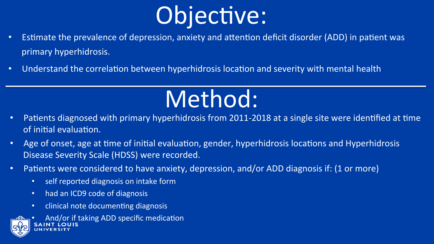

- Estimate the prevalence of depression, anxiety and attention deficit disorder (ADD) in patient was primary hyperhidrosis.
- Understand the correlation between hyperhidrosis location and severity with mental health

## Method:

- Patients diagnosed with primary hyperhidrosis from 2011-2018 at a single site were identified at time of initial evaluation.
- Age of onset, age at time of initial evaluation, gender, hyperhidrosis locations and Hyperhidrosis Disease Severity Scale (HDSS) were recorded.
- Patients were considered to have anxiety, depression, and/or ADD diagnosis if: (1 or more)
	- self reported diagnosis on intake form
	- had an ICD9 code of diagnosis
	- clinical note documenting diagnosis



And/or if taking ADD specific medication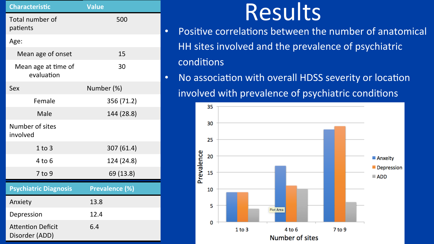| <b>Characteristic</b>                      | <b>Value</b>   |
|--------------------------------------------|----------------|
| Total number of<br>patients                | 500            |
| Age:                                       |                |
| Mean age of onset                          | 15             |
| Mean age at time of<br>evaluation          | 30             |
| Sex                                        | Number (%)     |
| Female                                     | 356 (71.2)     |
| Male                                       | 144 (28.8)     |
| Number of sites<br>involved                |                |
| $1$ to $3$                                 | 307 (61.4)     |
| 4 to 6                                     | 124 (24.8)     |
| 7 to 9                                     | 69 (13.8)      |
| <b>Psychiatric Diagnosis</b>               | Prevalence (%) |
| Anxiety                                    | 13.8           |
| Depression                                 | 12.4           |
| <b>Attention Deficit</b><br>Disorder (ADD) | 6.4            |

- **Results**<br>• Positive correlations between the number of anatomical HH sites involved and the prevalence of psychiatric conditions
- No association with overall HDSS severity or location involved with prevalence of psychiatric conditions